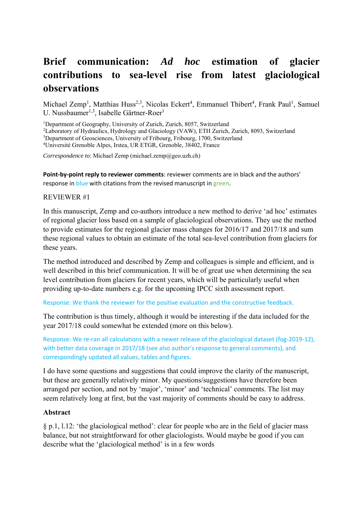# **Brief communication:** *Ad hoc* **estimation of glacier contributions to sea-level rise from latest glaciological observations**

Michael Zemp<sup>1</sup>, Matthias Huss<sup>2,3</sup>, Nicolas Eckert<sup>4</sup>, Emmanuel Thibert<sup>4</sup>, Frank Paul<sup>1</sup>, Samuel U. Nussbaumer<sup>1,3</sup>, Isabelle Gärtner-Roer<sup>1</sup>

<sup>1</sup>Department of Geography, University of Zurich, Zurich, 8057, Switzerland  $^{2}I$  aboratory of Hydraulics, Hydrology and Glaciology (VAW), ETH Zurich

<sup>2</sup>Laboratory of Hydraulics, Hydrology and Glaciology (VAW), ETH Zurich, Zurich, 8093, Switzerland

<sup>3</sup>Department of Geosciences, University of Fribourg, Fribourg, 1700, Switzerland 4<br><sup>4</sup>Université Grenoble Alpes Justee JJR ETGR, Grenoble 38402, France

Université Grenoble Alpes, Irstea, UR ETGR, Grenoble, 38402, France

*Correspondence to*: Michael Zemp (michael.zemp@geo.uzh.ch)

**Point-by-point reply to reviewer comments**: reviewer comments are in black and the authors' response in blue with citations from the revised manuscript in green.

#### REVIEWER #1

In this manuscript, Zemp and co-authors introduce a new method to derive 'ad hoc' estimates of regional glacier loss based on a sample of glaciological observations. They use the method to provide estimates for the regional glacier mass changes for 2016/17 and 2017/18 and sum these regional values to obtain an estimate of the total sea-level contribution from glaciers for these years.

The method introduced and described by Zemp and colleagues is simple and efficient, and is well described in this brief communication. It will be of great use when determining the sea level contribution from glaciers for recent years, which will be particularly useful when providing up-to-date numbers e.g. for the upcoming IPCC sixth assessment report.

Response: We thank the reviewer for the positive evaluation and the constructive feedback.

The contribution is thus timely, although it would be interesting if the data included for the year 2017/18 could somewhat be extended (more on this below).

Response: We re-ran all calculations with a newer release of the glaciological dataset (fog-2019-12), with better data coverage in 2017/18 (see also author's response to general comments), and correspondingly updated all values, tables and figures.

I do have some questions and suggestions that could improve the clarity of the manuscript, but these are generally relatively minor. My questions/suggestions have therefore been arranged per section, and not by 'major', 'minor' and 'technical' comments. The list may seem relatively long at first, but the vast majority of comments should be easy to address.

#### **Abstract**

§ p.1, l.12: 'the glaciological method': clear for people who are in the field of glacier mass balance, but not straightforward for other glaciologists. Would maybe be good if you can describe what the 'glaciological method' is in a few words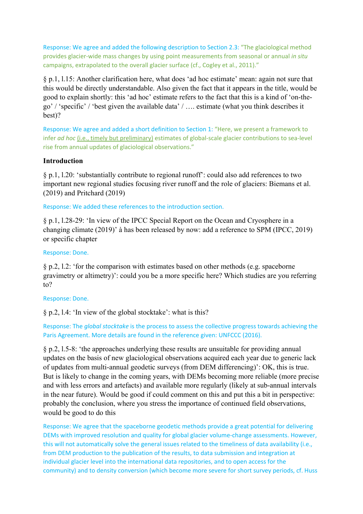Response: We agree and added the following description to Section 2.3: "The glaciological method provides glacier‐wide mass changes by using point measurements from seasonal or annual *in situ* campaigns, extrapolated to the overall glacier surface (cf., Cogley et al., 2011)."

§ p.1, l.15: Another clarification here, what does 'ad hoc estimate' mean: again not sure that this would be directly understandable. Also given the fact that it appears in the title, would be good to explain shortly: this 'ad hoc' estimate refers to the fact that this is a kind of 'on-thego' / 'specific' / 'best given the available data' / …. estimate (what you think describes it best)?

Response: We agree and added a short definition to Section 1: "Here, we present a framework to infer *ad hoc* (i.e., timely but preliminary) estimates of global-scale glacier contributions to sea-level rise from annual updates of glaciological observations."

## **Introduction**

§ p.1, l.20: 'substantially contribute to regional runoff': could also add references to two important new regional studies focusing river runoff and the role of glaciers: Biemans et al. (2019) and Pritchard (2019)

Response: We added these references to the introduction section.

§ p.1, l.28-29: 'In view of the IPCC Special Report on the Ocean and Cryosphere in a changing climate (2019)' à has been released by now: add a reference to SPM (IPCC, 2019) or specific chapter

#### Response: Done.

§ p.2, l.2: 'for the comparison with estimates based on other methods (e.g. spaceborne gravimetry or altimetry)': could you be a more specific here? Which studies are you referring to?

#### Response: Done.

§ p.2, l.4: 'In view of the global stocktake': what is this?

Response: The *global stocktake* is the process to assess the collective progress towards achieving the Paris Agreement. More details are found in the reference given: UNFCCC (2016).

§ p.2, l.5-8: 'the approaches underlying these results are unsuitable for providing annual updates on the basis of new glaciological observations acquired each year due to generic lack of updates from multi-annual geodetic surveys (from DEM differencing)': OK, this is true. But is likely to change in the coming years, with DEMs becoming more reliable (more precise and with less errors and artefacts) and available more regularly (likely at sub-annual intervals in the near future). Would be good if could comment on this and put this a bit in perspective: probably the conclusion, where you stress the importance of continued field observations, would be good to do this

Response: We agree that the spaceborne geodetic methods provide a great potential for delivering DEMs with improved resolution and quality for global glacier volume-change assessments. However, this will not automatically solve the general issues related to the timeliness of data availability (i.e., from DEM production to the publication of the results, to data submission and integration at individual glacier level into the international data repositories, and to open access for the community) and to density conversion (which become more severe for short survey periods, cf. Huss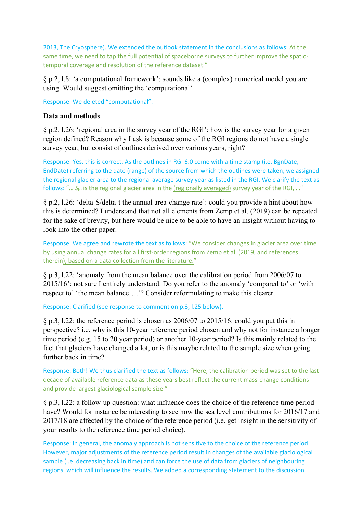2013, The Cryosphere). We extended the outlook statement in the conclusions as follows: At the same time, we need to tap the full potential of spaceborne surveys to further improve the spatiotemporal coverage and resolution of the reference dataset."

§ p.2, l.8: 'a computational framework': sounds like a (complex) numerical model you are using. Would suggest omitting the 'computational'

Response: We deleted "computational".

## **Data and methods**

§ p.2, l.26: 'regional area in the survey year of the RGI': how is the survey year for a given region defined? Reason why I ask is because some of the RGI regions do not have a single survey year, but consist of outlines derived over various years, right?

Response: Yes, this is correct. As the outlines in RGI 6.0 come with a time stamp (i.e. BgnDate, EndDate) referring to the date (range) of the source from which the outlines were taken, we assigned the regional glacier area to the regional average survey year as listed in the RGI. We clarify the text as follows: "... S<sub>t0</sub> is the regional glacier area in the (regionally averaged) survey year of the RGI, ..."

§ p.2, l.26: 'delta-S/delta-t the annual area-change rate': could you provide a hint about how this is determined? I understand that not all elements from Zemp et al. (2019) can be repeated for the sake of brevity, but here would be nice to be able to have an insight without having to look into the other paper.

Response: We agree and rewrote the text as follows: "We consider changes in glacier area over time by using annual change rates for all first‐order regions from Zemp et al. (2019, and references therein), based on a data collection from the literature."

§ p.3, l.22: 'anomaly from the mean balance over the calibration period from 2006/07 to 2015/16': not sure I entirely understand. Do you refer to the anomaly 'compared to' or 'with respect to' 'the mean balance….'? Consider reformulating to make this clearer.

Response: Clarified (see response to comment on p.3, l.25 below).

§ p.3, l.22: the reference period is chosen as 2006/07 to 2015/16: could you put this in perspective? i.e. why is this 10-year reference period chosen and why not for instance a longer time period (e.g. 15 to 20 year period) or another 10-year period? Is this mainly related to the fact that glaciers have changed a lot, or is this maybe related to the sample size when going further back in time?

Response: Both! We thus clarified the text as follows: "Here, the calibration period was set to the last decade of available reference data as these years best reflect the current mass‐change conditions and provide largest glaciological sample size."

§ p.3, l.22: a follow-up question: what influence does the choice of the reference time period have? Would for instance be interesting to see how the sea level contributions for 2016/17 and 2017/18 are affected by the choice of the reference period (i.e. get insight in the sensitivity of your results to the reference time period choice).

Response: In general, the anomaly approach is not sensitive to the choice of the reference period. However, major adjustments of the reference period result in changes of the available glaciological sample (i.e. decreasing back in time) and can force the use of data from glaciers of neighbouring regions, which will influence the results. We added a corresponding statement to the discussion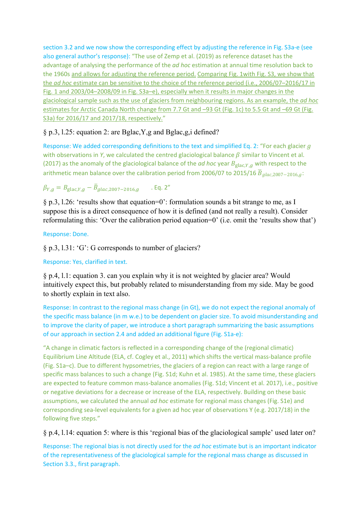section 3.2 and we now show the corresponding effect by adjusting the reference in Fig. S3a-e (see also general author's response): "The use of Zemp et al. (2019) as reference dataset has the advantage of analysing the performance of the *ad hoc* estimation at annual time resolution back to the 1960s and allows for adjusting the reference period. Comparing Fig. 1with Fig. S3, we show that the *ad hoc* estimate can be sensitive to the choice of the reference period (i.e., 2006/07–2016/17 in Fig. 1 and 2003/04–2008/09 in Fig. S3a–e), especially when it results in major changes in the glaciological sample such as the use of glaciers from neighbouring regions. As an example, the *ad hoc* estimates for Arctic Canada North change from 7.7 Gt and –93 Gt (Fig. 1c) to 5.5 Gt and –69 Gt (Fig. S3a) for 2016/17 and 2017/18, respectively."

# § p.3, l.25: equation 2: are Bglac,Y,g and Bglac,g,i defined?

Response: We added corresponding definitions to the text and simplified Eq. 2: "For each glacier  $q$ with observations in *Y*, we calculated the centred glaciological balance  $\beta$  similar to Vincent et al. (2017) as the anomaly of the glaciological balance of the *ad hoc* year  $B_{\text{glac}, Y, a}$  with respect to the arithmetic mean balance over the calibration period from 2006/07 to 2015/16  $\overline{B}_{glac,2007-2016,g}$ .

# $\beta_{Y,a} = B_{\text{glac},Y,a} - \bar{B}_{alac, 2007-2016,a}$  . Eq. 2"

§ p.3, l.26: 'results show that equation=0': formulation sounds a bit strange to me, as I suppose this is a direct consequence of how it is defined (and not really a result). Consider reformulating this: 'Over the calibration period equation=0' (i.e. omit the 'results show that')

## Response: Done.

§ p.3, l.31: 'G': G corresponds to number of glaciers?

Response: Yes, clarified in text.

§ p.4, l.1: equation 3. can you explain why it is not weighted by glacier area? Would intuitively expect this, but probably related to misunderstanding from my side. May be good to shortly explain in text also.

Response: In contrast to the regional mass change (in Gt), we do not expect the regional anomaly of the specific mass balance (in m w.e.) to be dependent on glacier size. To avoid misunderstanding and to improve the clarity of paper, we introduce a short paragraph summarizing the basic assumptions of our approach in section 2.4 and added an additional figure (Fig. S1a‐e):

"A change in climatic factors is reflected in a corresponding change of the (regional climatic) Equilibrium Line Altitude (ELA, cf. Cogley et al., 2011) which shifts the vertical mass‐balance profile (Fig. S1a–c). Due to different hypsometries, the glaciers of a region can react with a large range of specific mass balances to such a change (Fig. S1d; Kuhn et al. 1985). At the same time, these glaciers are expected to feature common mass-balance anomalies (Fig. S1d; Vincent et al. 2017), i.e., positive or negative deviations for a decrease or increase of the ELA, respectively. Building on these basic assumptions, we calculated the annual *ad hoc* estimate for regional mass changes (Fig. S1e) and corresponding sea-level equivalents for a given ad hoc year of observations Y (e.g. 2017/18) in the following five steps."

## § p.4, l.14: equation 5: where is this 'regional bias of the glaciological sample' used later on?

Response: The regional bias is not directly used for the *ad hoc* estimate but is an important indicator of the representativeness of the glaciological sample for the regional mass change as discussed in Section 3.3., first paragraph.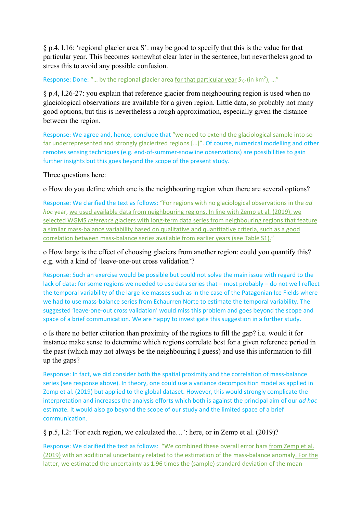§ p.4, l.16: 'regional glacier area S': may be good to specify that this is the value for that particular year. This becomes somewhat clear later in the sentence, but nevertheless good to stress this to avoid any possible confusion.

Response: Done: "... by the regional glacier area for that particular year S<sub>Y,r</sub> (in km<sup>2</sup>), ..."

§ p.4, l.26-27: you explain that reference glacier from neighbouring region is used when no glaciological observations are available for a given region. Little data, so probably not many good options, but this is nevertheless a rough approximation, especially given the distance between the region.

Response: We agree and, hence, conclude that "we need to extend the glaciological sample into so far underrepresented and strongly glacierized regions […]". Of course, numerical modelling and other remotes sensing techniques (e.g. end‐of‐summer‐snowline observations) are possibilities to gain further insights but this goes beyond the scope of the present study.

Three questions here:

o How do you define which one is the neighbouring region when there are several options?

Response: We clarified the text as follows: "For regions with no glaciological observations in the *ad hoc* year, we used available data from neighbouring regions. In line with Zemp et al. (2019), we selected WGMS *reference* glaciers with long-term data series from neighbouring regions that feature a similar mass‐balance variability based on qualitative and quantitative criteria, such as a good correlation between mass‐balance series available from earlier years (see Table S1)."

o How large is the effect of choosing glaciers from another region: could you quantify this? e.g. with a kind of 'leave-one-out cross validation'?

Response: Such an exercise would be possible but could not solve the main issue with regard to the lack of data: for some regions we needed to use data series that – most probably – do not well reflect the temporal variability of the large ice masses such as in the case of the Patagonian Ice Fields where we had to use mass-balance series from Echaurren Norte to estimate the temporal variability. The suggested 'leave-one-out cross validation' would miss this problem and goes beyond the scope and space of a brief communication. We are happy to investigate this suggestion in a further study.

o Is there no better criterion than proximity of the regions to fill the gap? i.e. would it for instance make sense to determine which regions correlate best for a given reference period in the past (which may not always be the neighbouring I guess) and use this information to fill up the gaps?

Response: In fact, we did consider both the spatial proximity and the correlation of mass-balance series (see response above). In theory, one could use a variance decomposition model as applied in Zemp et al. (2019) but applied to the global dataset. However, this would strongly complicate the interpretation and increases the analysis efforts which both is against the principal aim of our *ad hoc* estimate. It would also go beyond the scope of our study and the limited space of a brief communication.

# § p.5, l.2: 'For each region, we calculated the…': here, or in Zemp et al. (2019)?

Response: We clarified the text as follows: "We combined these overall error bars from Zemp et al. (2019) with an additional uncertainty related to the estimation of the mass-balance anomaly. For the latter, we estimated the uncertainty as 1.96 times the (sample) standard deviation of the mean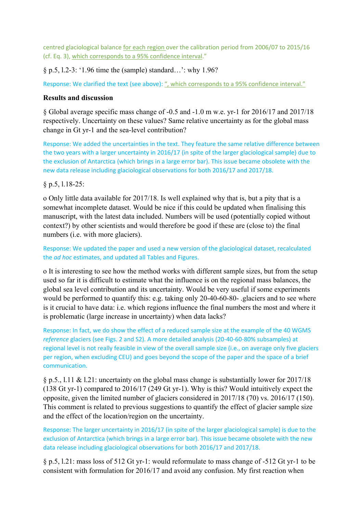centred glaciological balance for each region over the calibration period from 2006/07 to 2015/16 (cf. Eq. 3), which corresponds to a 95% confidence interval."

§ p.5, l.2-3: '1.96 time the (sample) standard…': why 1.96?

Response: We clarified the text (see above): ", which corresponds to a 95% confidence interval."

## **Results and discussion**

§ Global average specific mass change of -0.5 and -1.0 m w.e. yr-1 for 2016/17 and 2017/18 respectively. Uncertainty on these values? Same relative uncertainty as for the global mass change in Gt yr-1 and the sea-level contribution?

Response: We added the uncertainties in the text. They feature the same relative difference between the two years with a larger uncertainty in 2016/17 (in spite of the larger glaciological sample) due to the exclusion of Antarctica (which brings in a large error bar). This issue became obsolete with the new data release including glaciological observations for both 2016/17 and 2017/18.

# § p.5, l.18-25:

o Only little data available for 2017/18. Is well explained why that is, but a pity that is a somewhat incomplete dataset. Would be nice if this could be updated when finalising this manuscript, with the latest data included. Numbers will be used (potentially copied without context?) by other scientists and would therefore be good if these are (close to) the final numbers (i.e. with more glaciers).

Response: We updated the paper and used a new version of the glaciological dataset, recalculated the *ad hoc* estimates, and updated all Tables and Figures.

o It is interesting to see how the method works with different sample sizes, but from the setup used so far it is difficult to estimate what the influence is on the regional mass balances, the global sea level contribution and its uncertainty. Would be very useful if some experiments would be performed to quantify this: e.g. taking only 20-40-60-80- .glaciers and to see where is it crucial to have data: i.e. which regions influence the final numbers the most and where it is problematic (large increase in uncertainty) when data lacks?

Response: In fact, we do show the effect of a reduced sample size at the example of the 40 WGMS *reference* glaciers (see Figs. 2 and S2). A more detailed analysis (20‐40‐60‐80% subsamples) at regional level is not really feasible in view of the overall sample size (i.e., on average only five glaciers per region, when excluding CEU) and goes beyond the scope of the paper and the space of a brief communication.

§ p.5., l.11 & l.21: uncertainty on the global mass change is substantially lower for 2017/18 (138 Gt yr-1) compared to 2016/17 (249 Gt yr-1). Why is this? Would intuitively expect the opposite, given the limited number of glaciers considered in 2017/18 (70) vs. 2016/17 (150). This comment is related to previous suggestions to quantify the effect of glacier sample size and the effect of the location/region on the uncertainty.

Response: The larger uncertainty in 2016/17 (in spite of the larger glaciological sample) is due to the exclusion of Antarctica (which brings in a large error bar). This issue became obsolete with the new data release including glaciological observations for both 2016/17 and 2017/18.

§ p.5, l.21: mass loss of 512 Gt yr-1: would reformulate to mass change of -512 Gt yr-1 to be consistent with formulation for 2016/17 and avoid any confusion. My first reaction when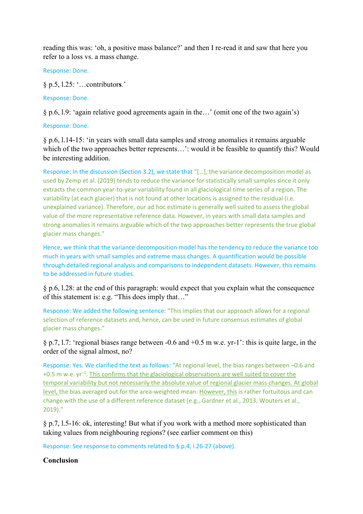reading this was: 'oh, a positive mass balance?' and then I re-read it and saw that here you refer to a loss vs. a mass change.

Response: Done.

§ p.5, l.25: '…contributor**s**.'

Response: Done.

§ p.6, l.9: 'again relative good agreements again in the…' (omit one of the two again's)

Response: Done.

§ p.6, l.14-15: 'in years with small data samples and strong anomalies it remains arguable which of the two approaches better represents...': would it be feasible to quantify this? Would be interesting addition.

Response: In the discussion (Section 3.2), we state that "[…], the variance decomposition model as used by Zemp et al. (2019) tends to reduce the variance for statistically small samples since it only extracts the common year-to-year variability found in all glaciological time series of a region. The variability (at each glacier) that is not found at other locations is assigned to the residual (i.e. unexplained variance). Therefore, our ad hoc estimate is generally well suited to assess the global value of the more representative reference data. However, in years with small data samples and strong anomalies it remains arguable which of the two approaches better represents the true global glacier mass changes."

Hence, we think that the variance decomposition model has the tendency to reduce the variance too much in years with small samples and extreme mass changes. A quantification would be possible through detailed regional analysis and comparisons to independent datasets. However, this remains to be addressed in future studies.

§ p.6, l.28: at the end of this paragraph: would expect that you explain what the consequence of this statement is: e.g. "This does imply that…"

Response: We added the following sentence: "This implies that our approach allows for a regional selection of reference datasets and, hence, can be used in future consensus estimates of global glacier mass changes."

§ p.7, l.7: 'regional biases range between -0.6 and +0.5 m w.e. yr-1': this is quite large, in the order of the signal almost, no?

Response: Yes. We clarified the text as follows: "At regional level, the bias ranges between –0.6 and  $+0.5$  m w.e.  $yr^{-1}$ . This confirms that the glaciological observations are well suited to cover the temporal variability but not necessarily the absolute value of regional glacier mass changes. At global level, the bias averaged out for the area‐weighted mean. However, this is rather fortuitous and can change with the use of a different reference dataset (e.g., Gardner et al., 2013; Wouters et al., 2019)."

§ p.7, l.5-16: ok, interesting! But what if you work with a method more sophisticated than taking values from neighbouring regions? (see earlier comment on this)

Response: See response to comments related to § p.4, l.26‐27 (above).

**Conclusion**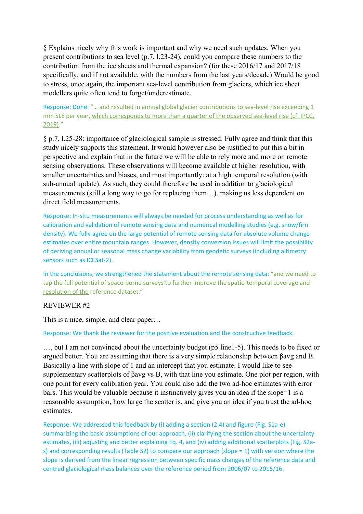§ Explains nicely why this work is important and why we need such updates. When you present contributions to sea level (p.7, l.23-24), could you compare these numbers to the contribution from the ice sheets and thermal expansion? (for these 2016/17 and 2017/18 specifically, and if not available, with the numbers from the last years/decade) Would be good to stress, once again, the important sea-level contribution from glaciers, which ice sheet modellers quite often tend to forget/underestimate.

Response: Done: "... and resulted in annual global glacier contributions to sea-level rise exceeding 1 mm SLE per year, which corresponds to more than a quarter of the observed sea-level rise (cf. IPCC, 2019)."

§ p.7, l.25-28: importance of glaciological sample is stressed. Fully agree and think that this study nicely supports this statement. It would however also be justified to put this a bit in perspective and explain that in the future we will be able to rely more and more on remote sensing observations. These observations will become available at higher resolution, with smaller uncertainties and biases, and most importantly: at a high temporal resolution (with sub-annual update). As such, they could therefore be used in addition to glaciological measurements (still a long way to go for replacing them…), making us less dependent on direct field measurements.

Response: In‐situ measurements will always be needed for process understanding as well as for calibration and validation of remote sensing data and numerical modelling studies (e.g. snow/firn density). We fully agree on the large potential of remote sensing data for absolute volume change estimates over entire mountain ranges. However, density conversion issues will limit the possibility of deriving annual or seasonal mass change variability from geodetic surveys (including altimetry sensors such as ICESat-2).

In the conclusions, we strengthened the statement about the remote sensing data: "and we need to tap the full potential of space‐borne surveys to further improve the spatio‐temporal coverage and resolution of the reference dataset."

#### REVIEWER #2

This is a nice, simple, and clear paper…

#### Response: We thank the reviewer for the positive evaluation and the constructive feedback.

…, but I am not convinced about the uncertainty budget (p5 line1-5). This needs to be fixed or argued better. You are assuming that there is a very simple relationship between βavg and B. Basically a line with slope of 1 and an intercept that you estimate. I would like to see supplementary scatterplots of βavg vs B, with that line you estimate. One plot per region, with one point for every calibration year. You could also add the two ad-hoc estimates with error bars. This would be valuable because it instinctively gives you an idea if the slope=1 is a reasonable assumption, how large the scatter is, and give you an idea if you trust the ad-hoc estimates.

Response: We addressed this feedback by (i) adding a section (2.4) and figure (Fig. S1a‐e) summarizing the basic assumptions of our approach, (ii) clarifying the section about the uncertainty estimates, (iii) adjusting and better explaining Eq. 4, and (iv) adding additional scatterplots (Fig. S2as) and corresponding results (Table S2) to compare our approach (slope = 1) with version where the slope is derived from the linear regression between specific mass changes of the reference data and centred glaciological mass balances over the reference period from 2006/07 to 2015/16.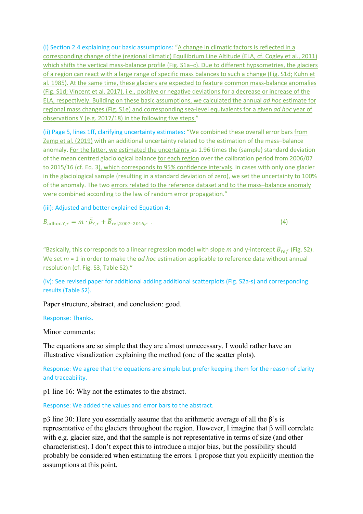(i) Section 2.4 explaining our basic assumptions: "A change in climatic factors is reflected in a corresponding change of the (regional climatic) Equilibrium Line Altitude (ELA, cf. Cogley et al., 2011) which shifts the vertical mass-balance profile (Fig. S1a–c). Due to different hypsometries, the glaciers of a region can react with a large range of specific mass balances to such a change (Fig. S1d; Kuhn et al. 1985). At the same time, these glaciers are expected to feature common mass-balance anomalies (Fig. S1d; Vincent et al. 2017), i.e., positive or negative deviations for a decrease or increase of the ELA, respectively. Building on these basic assumptions, we calculated the annual *ad hoc* estimate for regional mass changes (Fig. S1e) and corresponding sea‐level equivalents for a given *ad hoc* year of observations Y (e.g. 2017/18) in the following five steps."

(ii) Page 5, lines 1ff, clarifying uncertainty estimates: "We combined these overall error bars from Zemp et al. (2019) with an additional uncertainty related to the estimation of the mass–balance anomaly. For the latter, we estimated the uncertainty as 1.96 times the (sample) standard deviation of the mean centred glaciological balance for each region over the calibration period from 2006/07 to 2015/16 (cf. Eq. 3), which corresponds to 95% confidence intervals. In cases with only one glacier in the glaciological sample (resulting in a standard deviation of zero), we set the uncertainty to 100% of the anomaly. The two errors related to the reference dataset and to the mass–balance anomaly were combined according to the law of random error propagation."

(iii): Adjusted and better explained Equation 4:

$$
B_{\text{adhoc},Y,r} = m \cdot \bar{\beta}_{Y,r} + \bar{B}_{\text{ref},2007-2016,r} \tag{4}
$$

"Basically, this corresponds to a linear regression model with slope *m* and y-intercept  $\bar{B}_{ref}$  (Fig. S2). We set *m* = 1 in order to make the *ad hoc* estimation applicable to reference data without annual resolution (cf. Fig. S3, Table S2)."

(iv): See revised paper for additional adding additional scatterplots (Fig. S2a‐s) and corresponding results (Table S2).

Paper structure, abstract, and conclusion: good.

#### Response: Thanks.

Minor comments:

The equations are so simple that they are almost unnecessary. I would rather have an illustrative visualization explaining the method (one of the scatter plots).

Response: We agree that the equations are simple but prefer keeping them for the reason of clarity and traceability.

p1 line 16: Why not the estimates to the abstract.

Response: We added the values and error bars to the abstract.

p3 line 30: Here you essentially assume that the arithmetic average of all the  $\beta$ 's is representative of the glaciers throughout the region. However, I imagine that β will correlate with e.g. glacier size, and that the sample is not representative in terms of size (and other characteristics). I don't expect this to introduce a major bias, but the possibility should probably be considered when estimating the errors. I propose that you explicitly mention the assumptions at this point.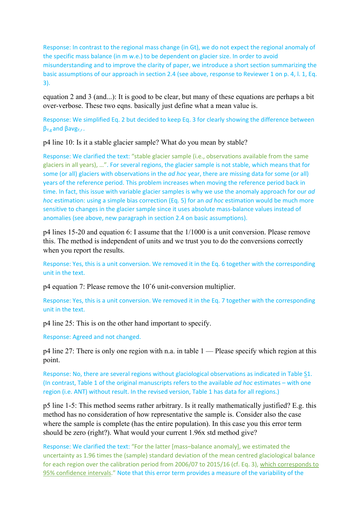Response: In contrast to the regional mass change (in Gt), we do not expect the regional anomaly of the specific mass balance (in m w.e.) to be dependent on glacier size. In order to avoid misunderstanding and to improve the clarity of paper, we introduce a short section summarizing the basic assumptions of our approach in section 2.4 (see above, response to Reviewer 1 on p. 4, l. 1, Eq. 3).

equation 2 and 3 (and...): It is good to be clear, but many of these equations are perhaps a bit over-verbose. These two eqns. basically just define what a mean value is.

Response: We simplified Eq. 2 but decided to keep Eq. 3 for clearly showing the difference between βY,g and βavgY,r .

p4 line 10: Is it a stable glacier sample? What do you mean by stable?

Response: We clarified the text: "stable glacier sample (i.e., observations available from the same glaciers in all years), …". For several regions, the glacier sample is not stable, which means that for some (or all) glaciers with observations in the *ad hoc* year, there are missing data for some (or all) years of the reference period. This problem increases when moving the reference period back in time. In fact, this issue with variable glacier samples is why we use the anomaly approach for our *ad hoc* estimation: using a simple bias correction (Eq. 5) for an *ad hoc* estimation would be much more sensitive to changes in the glacier sample since it uses absolute mass-balance values instead of anomalies (see above, new paragraph in section 2.4 on basic assumptions).

p4 lines 15-20 and equation 6: I assume that the 1/1000 is a unit conversion. Please remove this. The method is independent of units and we trust you to do the conversions correctly when you report the results.

Response: Yes, this is a unit conversion. We removed it in the Eq. 6 together with the corresponding unit in the text.

p4 equation 7: Please remove the 10ˆ6 unit-conversion multiplier.

Response: Yes, this is a unit conversion. We removed it in the Eq. 7 together with the corresponding unit in the text.

p4 line 25: This is on the other hand important to specify.

Response: Agreed and not changed.

p4 line 27: There is only one region with n.a. in table 1 — Please specify which region at this point.

Response: No, there are several regions without glaciological observations as indicated in Table S1. (In contrast, Table 1 of the original manuscripts refers to the available *ad hoc* estimates – with one region (i.e. ANT) without result. In the revised version, Table 1 has data for all regions.)

p5 line 1-5: This method seems rather arbitrary. Is it really mathematically justified? E.g. this method has no consideration of how representative the sample is. Consider also the case where the sample is complete (has the entire population). In this case you this error term should be zero (right?). What would your current 1.96x std method give?

Response: We clarified the text: "For the latter [mass–balance anomaly], we estimated the uncertainty as 1.96 times the (sample) standard deviation of the mean centred glaciological balance for each region over the calibration period from 2006/07 to 2015/16 (cf. Eq. 3), which corresponds to 95% confidence intervals." Note that this error term provides a measure of the variability of the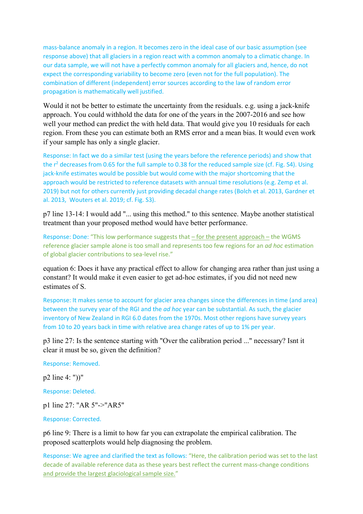mass‐balance anomaly in a region. It becomes zero in the ideal case of our basic assumption (see response above) that all glaciers in a region react with a common anomaly to a climatic change. In our data sample, we will not have a perfectly common anomaly for all glaciers and, hence, do not expect the corresponding variability to become zero (even not for the full population). The combination of different (independent) error sources according to the law of random error propagation is mathematically well justified.

Would it not be better to estimate the uncertainty from the residuals. e.g. using a jack-knife approach. You could withhold the data for one of the years in the 2007-2016 and see how well your method can predict the with held data. That would give you 10 residuals for each region. From these you can estimate both an RMS error and a mean bias. It would even work if your sample has only a single glacier.

Response: In fact we do a similar test (using the years before the reference periods) and show that the  $r^2$  decreases from 0.65 for the full sample to 0.38 for the reduced sample size (cf. Fig. S4). Using jack-knife estimates would be possible but would come with the major shortcoming that the approach would be restricted to reference datasets with annual time resolutions (e.g. Zemp et al. 2019) but not for others currently just providing decadal change rates (Bolch et al. 2013, Gardner et al. 2013, Wouters et al. 2019; cf. Fig. S3).

p7 line 13-14: I would add "... using this method." to this sentence. Maybe another statistical treatment than your proposed method would have better performance.

Response: Done: "This low performance suggests that – for the present approach – the WGMS reference glacier sample alone is too small and represents too few regions for an *ad hoc* estimation of global glacier contributions to sea‐level rise."

equation 6: Does it have any practical effect to allow for changing area rather than just using a constant? It would make it even easier to get ad-hoc estimates, if you did not need new estimates of S.

Response: It makes sense to account for glacier area changes since the differences in time (and area) between the survey year of the RGI and the *ad hoc* year can be substantial. As such, the glacier inventory of New Zealand in RGI 6.0 dates from the 1970s. Most other regions have survey years from 10 to 20 years back in time with relative area change rates of up to 1% per year.

p3 line 27: Is the sentence starting with "Over the calibration period ..." necessary? Isnt it clear it must be so, given the definition?

Response: Removed.

p2 line 4: "))"

Response: Deleted.

p1 line 27: "AR 5"->"AR5"

Response: Corrected.

p6 line 9: There is a limit to how far you can extrapolate the empirical calibration. The proposed scatterplots would help diagnosing the problem.

Response: We agree and clarified the text as follows: "Here, the calibration period was set to the last decade of available reference data as these years best reflect the current mass‐change conditions and provide the largest glaciological sample size."